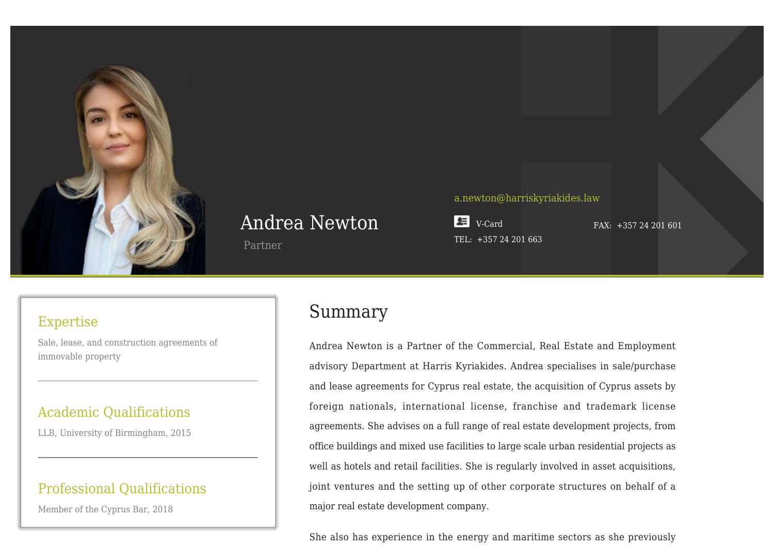

# Andrea Newton

Partner

#### [a.newton@harriskyriakides.law](mailto:a.newton@harriskyriakides.law)

 $E = V-Card$  $E = V-Card$ TEL: +357 24 201 663

FAX: +357 24 201 601

### Expertise

Sale, lease, and construction agreements of immovable property

### Academic Qualifications

LLB, University of Birmingham, 2015

## Professional Qualifications

Member of the Cyprus Bar, 2018

## Summary

Andrea Newton is a Partner of the Commercial, Real Estate and Employment advisory Department at Harris Kyriakides. Andrea specialises in sale/purchase and lease agreements for Cyprus real estate, the acquisition of Cyprus assets by foreign nationals, international license, franchise and trademark license agreements. She advises on a full range of real estate development projects, from office buildings and mixed use facilities to large scale urban residential projects as well as hotels and retail facilities. She is regularly involved in asset acquisitions, joint ventures and the setting up of other corporate structures on behalf of a major real estate development company.

She also has experience in the energy and maritime sectors as she previously